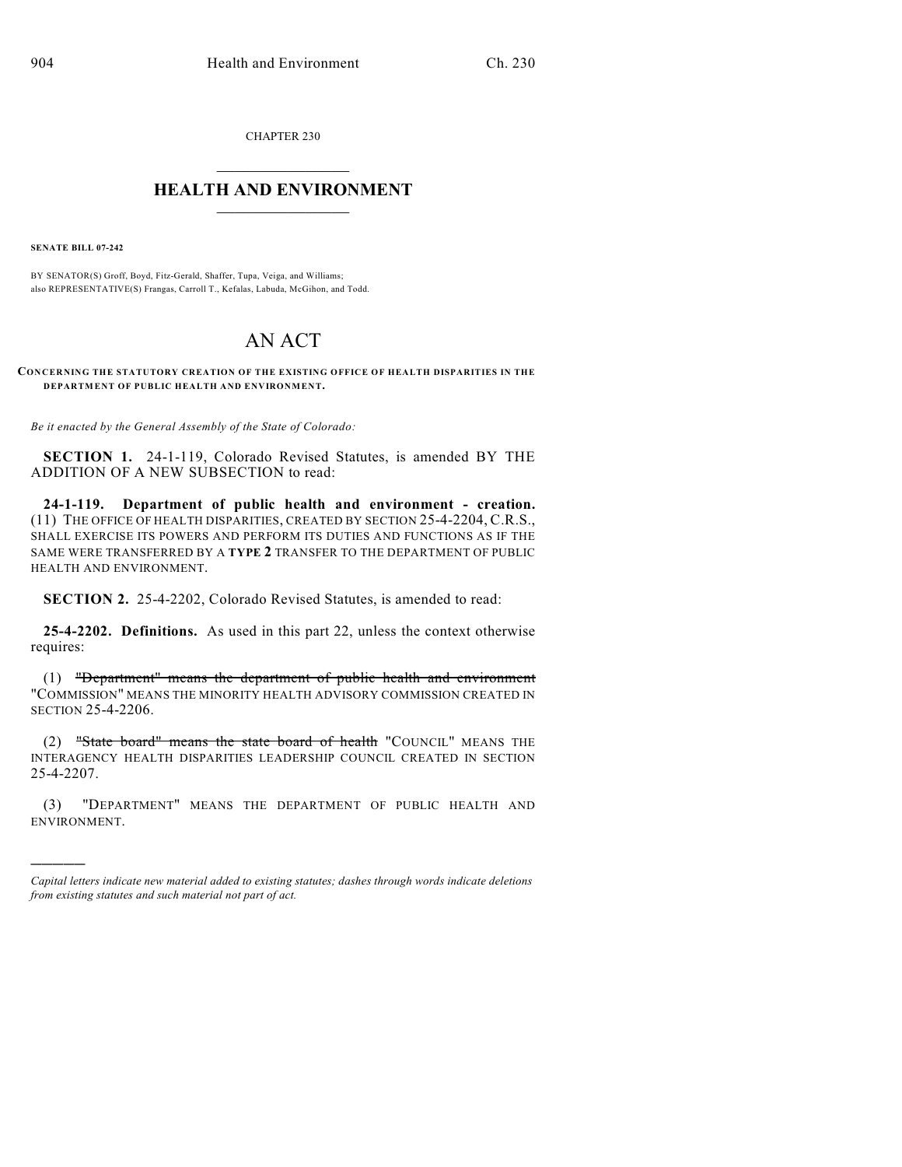CHAPTER 230

## $\overline{\phantom{a}}$  . The set of the set of the set of the set of the set of the set of the set of the set of the set of the set of the set of the set of the set of the set of the set of the set of the set of the set of the set o **HEALTH AND ENVIRONMENT**  $\_$

**SENATE BILL 07-242**

)))))

BY SENATOR(S) Groff, Boyd, Fitz-Gerald, Shaffer, Tupa, Veiga, and Williams; also REPRESENTATIVE(S) Frangas, Carroll T., Kefalas, Labuda, McGihon, and Todd.

## AN ACT

**CONCERNING THE STATUTORY CREATION OF THE EXISTING OFFICE OF HEALTH DISPARITIES IN THE DEPARTMENT OF PUBLIC HEALTH AND ENVIRONMENT.**

*Be it enacted by the General Assembly of the State of Colorado:*

**SECTION 1.** 24-1-119, Colorado Revised Statutes, is amended BY THE ADDITION OF A NEW SUBSECTION to read:

**24-1-119. Department of public health and environment - creation.** (11) THE OFFICE OF HEALTH DISPARITIES, CREATED BY SECTION 25-4-2204, C.R.S., SHALL EXERCISE ITS POWERS AND PERFORM ITS DUTIES AND FUNCTIONS AS IF THE SAME WERE TRANSFERRED BY A **TYPE 2** TRANSFER TO THE DEPARTMENT OF PUBLIC HEALTH AND ENVIRONMENT.

**SECTION 2.** 25-4-2202, Colorado Revised Statutes, is amended to read:

**25-4-2202. Definitions.** As used in this part 22, unless the context otherwise requires:

(1) "Department" means the department of public health and environment "COMMISSION" MEANS THE MINORITY HEALTH ADVISORY COMMISSION CREATED IN SECTION 25-4-2206.

(2) "State board" means the state board of health "COUNCIL" MEANS THE INTERAGENCY HEALTH DISPARITIES LEADERSHIP COUNCIL CREATED IN SECTION 25-4-2207.

(3) "DEPARTMENT" MEANS THE DEPARTMENT OF PUBLIC HEALTH AND ENVIRONMENT.

*Capital letters indicate new material added to existing statutes; dashes through words indicate deletions from existing statutes and such material not part of act.*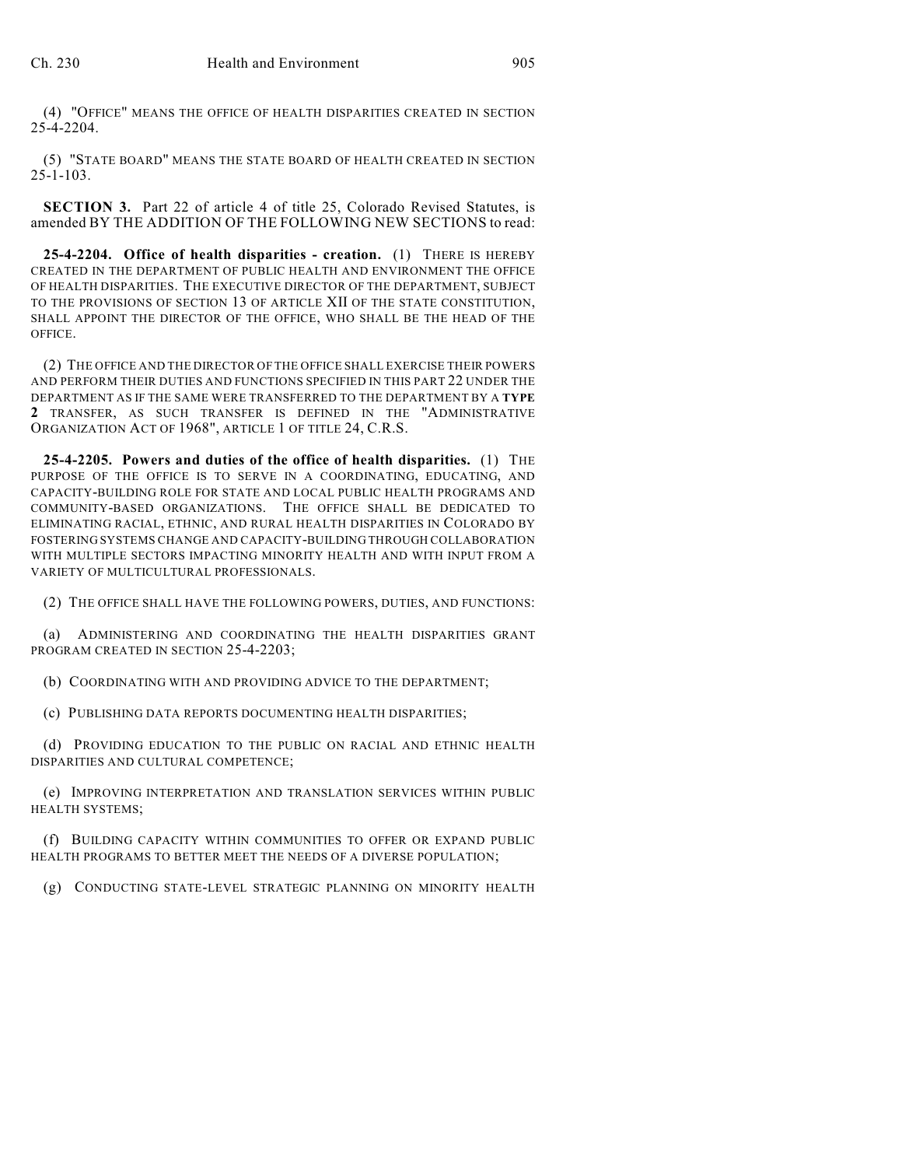(4) "OFFICE" MEANS THE OFFICE OF HEALTH DISPARITIES CREATED IN SECTION 25-4-2204.

(5) "STATE BOARD" MEANS THE STATE BOARD OF HEALTH CREATED IN SECTION 25-1-103.

**SECTION 3.** Part 22 of article 4 of title 25, Colorado Revised Statutes, is amended BY THE ADDITION OF THE FOLLOWING NEW SECTIONS to read:

**25-4-2204. Office of health disparities - creation.** (1) THERE IS HEREBY CREATED IN THE DEPARTMENT OF PUBLIC HEALTH AND ENVIRONMENT THE OFFICE OF HEALTH DISPARITIES. THE EXECUTIVE DIRECTOR OF THE DEPARTMENT, SUBJECT TO THE PROVISIONS OF SECTION 13 OF ARTICLE XII OF THE STATE CONSTITUTION, SHALL APPOINT THE DIRECTOR OF THE OFFICE, WHO SHALL BE THE HEAD OF THE OFFICE.

(2) THE OFFICE AND THE DIRECTOR OF THE OFFICE SHALL EXERCISE THEIR POWERS AND PERFORM THEIR DUTIES AND FUNCTIONS SPECIFIED IN THIS PART 22 UNDER THE DEPARTMENT AS IF THE SAME WERE TRANSFERRED TO THE DEPARTMENT BY A **TYPE 2** TRANSFER, AS SUCH TRANSFER IS DEFINED IN THE "ADMINISTRATIVE ORGANIZATION ACT OF 1968", ARTICLE 1 OF TITLE 24, C.R.S.

**25-4-2205. Powers and duties of the office of health disparities.** (1) THE PURPOSE OF THE OFFICE IS TO SERVE IN A COORDINATING, EDUCATING, AND CAPACITY-BUILDING ROLE FOR STATE AND LOCAL PUBLIC HEALTH PROGRAMS AND COMMUNITY-BASED ORGANIZATIONS. THE OFFICE SHALL BE DEDICATED TO ELIMINATING RACIAL, ETHNIC, AND RURAL HEALTH DISPARITIES IN COLORADO BY FOSTERING SYSTEMS CHANGE AND CAPACITY-BUILDING THROUGH COLLABORATION WITH MULTIPLE SECTORS IMPACTING MINORITY HEALTH AND WITH INPUT FROM A VARIETY OF MULTICULTURAL PROFESSIONALS.

(2) THE OFFICE SHALL HAVE THE FOLLOWING POWERS, DUTIES, AND FUNCTIONS:

(a) ADMINISTERING AND COORDINATING THE HEALTH DISPARITIES GRANT PROGRAM CREATED IN SECTION 25-4-2203;

(b) COORDINATING WITH AND PROVIDING ADVICE TO THE DEPARTMENT;

(c) PUBLISHING DATA REPORTS DOCUMENTING HEALTH DISPARITIES;

(d) PROVIDING EDUCATION TO THE PUBLIC ON RACIAL AND ETHNIC HEALTH DISPARITIES AND CULTURAL COMPETENCE;

(e) IMPROVING INTERPRETATION AND TRANSLATION SERVICES WITHIN PUBLIC HEALTH SYSTEMS;

(f) BUILDING CAPACITY WITHIN COMMUNITIES TO OFFER OR EXPAND PUBLIC HEALTH PROGRAMS TO BETTER MEET THE NEEDS OF A DIVERSE POPULATION;

(g) CONDUCTING STATE-LEVEL STRATEGIC PLANNING ON MINORITY HEALTH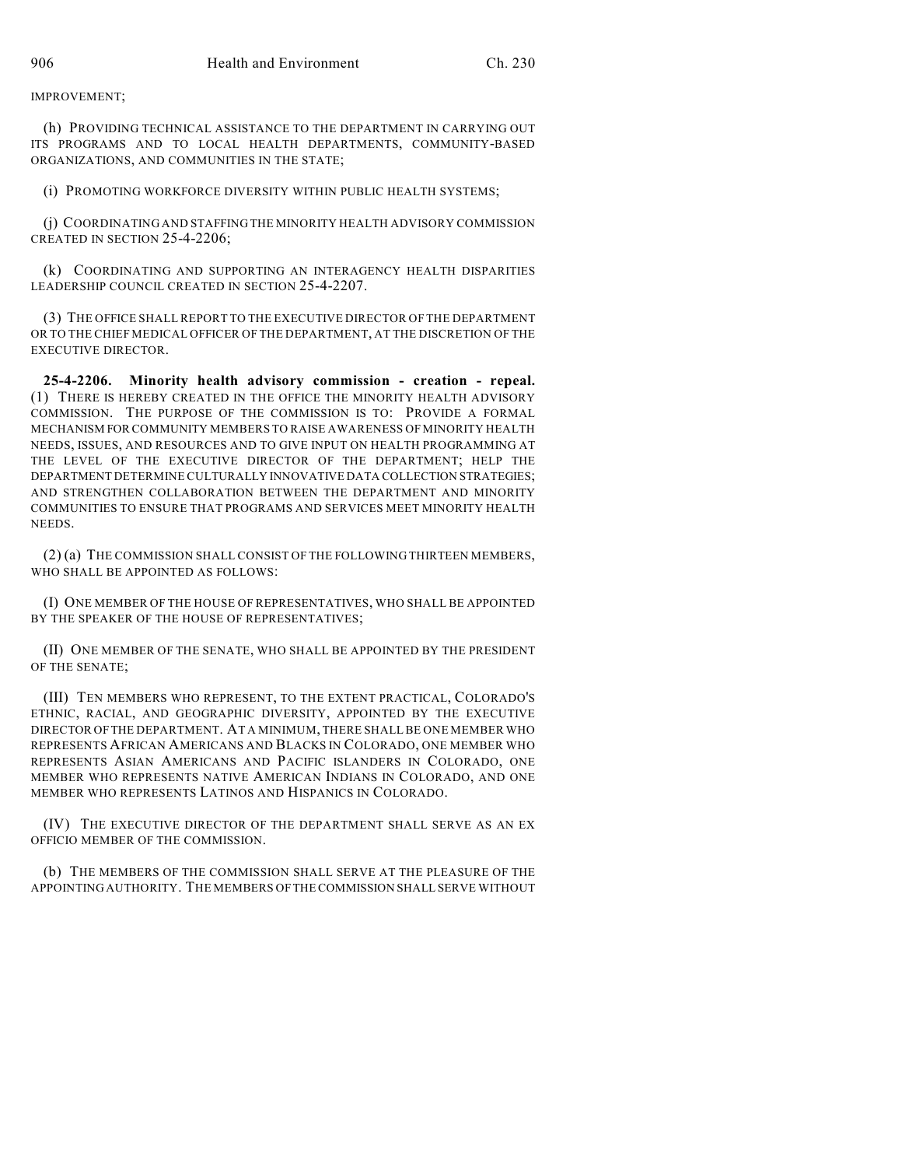IMPROVEMENT;

(h) PROVIDING TECHNICAL ASSISTANCE TO THE DEPARTMENT IN CARRYING OUT ITS PROGRAMS AND TO LOCAL HEALTH DEPARTMENTS, COMMUNITY-BASED ORGANIZATIONS, AND COMMUNITIES IN THE STATE;

(i) PROMOTING WORKFORCE DIVERSITY WITHIN PUBLIC HEALTH SYSTEMS;

(j) COORDINATING AND STAFFING THE MINORITY HEALTH ADVISORY COMMISSION CREATED IN SECTION 25-4-2206;

(k) COORDINATING AND SUPPORTING AN INTERAGENCY HEALTH DISPARITIES LEADERSHIP COUNCIL CREATED IN SECTION 25-4-2207.

(3) THE OFFICE SHALL REPORT TO THE EXECUTIVE DIRECTOR OF THE DEPARTMENT OR TO THE CHIEF MEDICAL OFFICER OF THE DEPARTMENT, AT THE DISCRETION OF THE EXECUTIVE DIRECTOR.

**25-4-2206. Minority health advisory commission - creation - repeal.** (1) THERE IS HEREBY CREATED IN THE OFFICE THE MINORITY HEALTH ADVISORY COMMISSION. THE PURPOSE OF THE COMMISSION IS TO: PROVIDE A FORMAL MECHANISM FOR COMMUNITY MEMBERS TO RAISE AWARENESS OF MINORITY HEALTH NEEDS, ISSUES, AND RESOURCES AND TO GIVE INPUT ON HEALTH PROGRAMMING AT THE LEVEL OF THE EXECUTIVE DIRECTOR OF THE DEPARTMENT; HELP THE DEPARTMENT DETERMINE CULTURALLY INNOVATIVE DATA COLLECTION STRATEGIES; AND STRENGTHEN COLLABORATION BETWEEN THE DEPARTMENT AND MINORITY COMMUNITIES TO ENSURE THAT PROGRAMS AND SERVICES MEET MINORITY HEALTH NEEDS.

(2) (a) THE COMMISSION SHALL CONSIST OF THE FOLLOWING THIRTEEN MEMBERS, WHO SHALL BE APPOINTED AS FOLLOWS:

(I) ONE MEMBER OF THE HOUSE OF REPRESENTATIVES, WHO SHALL BE APPOINTED BY THE SPEAKER OF THE HOUSE OF REPRESENTATIVES;

(II) ONE MEMBER OF THE SENATE, WHO SHALL BE APPOINTED BY THE PRESIDENT OF THE SENATE;

(III) TEN MEMBERS WHO REPRESENT, TO THE EXTENT PRACTICAL, COLORADO'S ETHNIC, RACIAL, AND GEOGRAPHIC DIVERSITY, APPOINTED BY THE EXECUTIVE DIRECTOR OF THE DEPARTMENT. AT A MINIMUM, THERE SHALL BE ONE MEMBER WHO REPRESENTS AFRICAN AMERICANS AND BLACKS IN COLORADO, ONE MEMBER WHO REPRESENTS ASIAN AMERICANS AND PACIFIC ISLANDERS IN COLORADO, ONE MEMBER WHO REPRESENTS NATIVE AMERICAN INDIANS IN COLORADO, AND ONE MEMBER WHO REPRESENTS LATINOS AND HISPANICS IN COLORADO.

(IV) THE EXECUTIVE DIRECTOR OF THE DEPARTMENT SHALL SERVE AS AN EX OFFICIO MEMBER OF THE COMMISSION.

(b) THE MEMBERS OF THE COMMISSION SHALL SERVE AT THE PLEASURE OF THE APPOINTING AUTHORITY. THE MEMBERS OF THE COMMISSION SHALL SERVE WITHOUT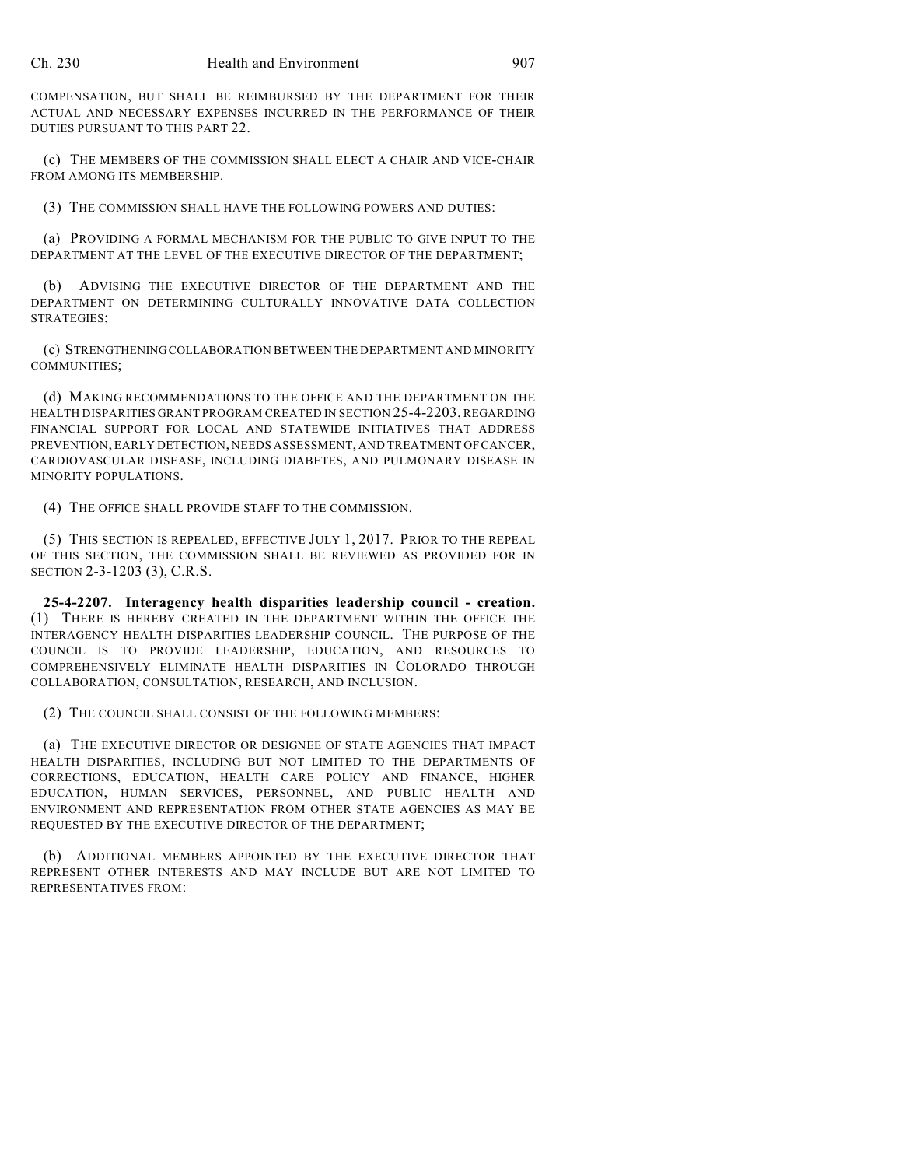COMPENSATION, BUT SHALL BE REIMBURSED BY THE DEPARTMENT FOR THEIR ACTUAL AND NECESSARY EXPENSES INCURRED IN THE PERFORMANCE OF THEIR DUTIES PURSUANT TO THIS PART 22.

(c) THE MEMBERS OF THE COMMISSION SHALL ELECT A CHAIR AND VICE-CHAIR FROM AMONG ITS MEMBERSHIP.

(3) THE COMMISSION SHALL HAVE THE FOLLOWING POWERS AND DUTIES:

(a) PROVIDING A FORMAL MECHANISM FOR THE PUBLIC TO GIVE INPUT TO THE DEPARTMENT AT THE LEVEL OF THE EXECUTIVE DIRECTOR OF THE DEPARTMENT;

(b) ADVISING THE EXECUTIVE DIRECTOR OF THE DEPARTMENT AND THE DEPARTMENT ON DETERMINING CULTURALLY INNOVATIVE DATA COLLECTION STRATEGIES;

(c) STRENGTHENING COLLABORATION BETWEEN THE DEPARTMENT AND MINORITY COMMUNITIES;

(d) MAKING RECOMMENDATIONS TO THE OFFICE AND THE DEPARTMENT ON THE HEALTH DISPARITIES GRANT PROGRAM CREATED IN SECTION 25-4-2203, REGARDING FINANCIAL SUPPORT FOR LOCAL AND STATEWIDE INITIATIVES THAT ADDRESS PREVENTION, EARLY DETECTION, NEEDS ASSESSMENT, AND TREATMENT OF CANCER, CARDIOVASCULAR DISEASE, INCLUDING DIABETES, AND PULMONARY DISEASE IN MINORITY POPULATIONS.

(4) THE OFFICE SHALL PROVIDE STAFF TO THE COMMISSION.

(5) THIS SECTION IS REPEALED, EFFECTIVE JULY 1, 2017. PRIOR TO THE REPEAL OF THIS SECTION, THE COMMISSION SHALL BE REVIEWED AS PROVIDED FOR IN SECTION 2-3-1203 (3), C.R.S.

**25-4-2207. Interagency health disparities leadership council - creation.** (1) THERE IS HEREBY CREATED IN THE DEPARTMENT WITHIN THE OFFICE THE INTERAGENCY HEALTH DISPARITIES LEADERSHIP COUNCIL. THE PURPOSE OF THE COUNCIL IS TO PROVIDE LEADERSHIP, EDUCATION, AND RESOURCES TO COMPREHENSIVELY ELIMINATE HEALTH DISPARITIES IN COLORADO THROUGH COLLABORATION, CONSULTATION, RESEARCH, AND INCLUSION.

(2) THE COUNCIL SHALL CONSIST OF THE FOLLOWING MEMBERS:

(a) THE EXECUTIVE DIRECTOR OR DESIGNEE OF STATE AGENCIES THAT IMPACT HEALTH DISPARITIES, INCLUDING BUT NOT LIMITED TO THE DEPARTMENTS OF CORRECTIONS, EDUCATION, HEALTH CARE POLICY AND FINANCE, HIGHER EDUCATION, HUMAN SERVICES, PERSONNEL, AND PUBLIC HEALTH AND ENVIRONMENT AND REPRESENTATION FROM OTHER STATE AGENCIES AS MAY BE REQUESTED BY THE EXECUTIVE DIRECTOR OF THE DEPARTMENT;

(b) ADDITIONAL MEMBERS APPOINTED BY THE EXECUTIVE DIRECTOR THAT REPRESENT OTHER INTERESTS AND MAY INCLUDE BUT ARE NOT LIMITED TO REPRESENTATIVES FROM: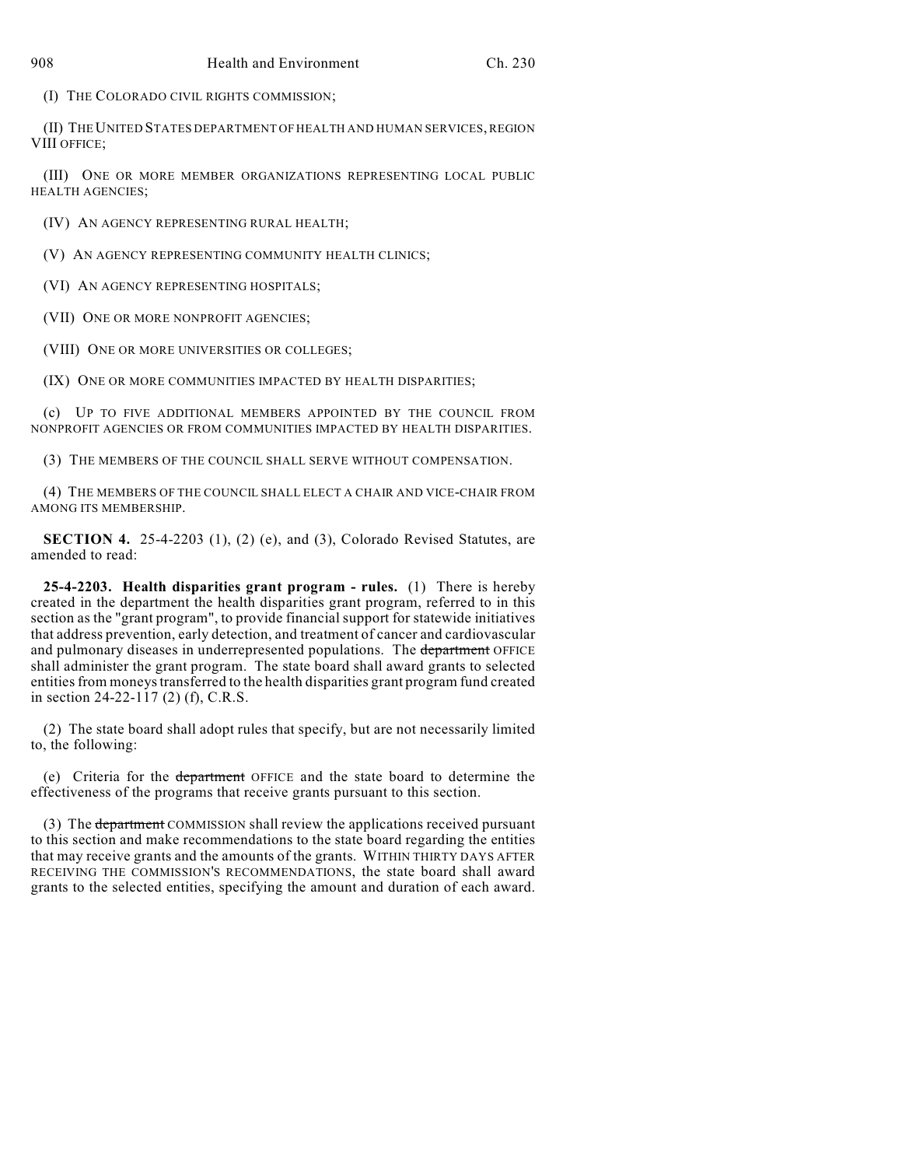(I) THE COLORADO CIVIL RIGHTS COMMISSION;

(II) THE UNITED STATES DEPARTMENT OF HEALTH AND HUMAN SERVICES, REGION VIII OFFICE;

(III) ONE OR MORE MEMBER ORGANIZATIONS REPRESENTING LOCAL PUBLIC HEALTH AGENCIES;

(IV) AN AGENCY REPRESENTING RURAL HEALTH;

(V) AN AGENCY REPRESENTING COMMUNITY HEALTH CLINICS;

(VI) AN AGENCY REPRESENTING HOSPITALS;

(VII) ONE OR MORE NONPROFIT AGENCIES;

(VIII) ONE OR MORE UNIVERSITIES OR COLLEGES;

(IX) ONE OR MORE COMMUNITIES IMPACTED BY HEALTH DISPARITIES;

(c) UP TO FIVE ADDITIONAL MEMBERS APPOINTED BY THE COUNCIL FROM NONPROFIT AGENCIES OR FROM COMMUNITIES IMPACTED BY HEALTH DISPARITIES.

(3) THE MEMBERS OF THE COUNCIL SHALL SERVE WITHOUT COMPENSATION.

(4) THE MEMBERS OF THE COUNCIL SHALL ELECT A CHAIR AND VICE-CHAIR FROM AMONG ITS MEMBERSHIP.

**SECTION 4.** 25-4-2203 (1), (2) (e), and (3), Colorado Revised Statutes, are amended to read:

**25-4-2203. Health disparities grant program - rules.** (1) There is hereby created in the department the health disparities grant program, referred to in this section as the "grant program", to provide financial support for statewide initiatives that address prevention, early detection, and treatment of cancer and cardiovascular and pulmonary diseases in underrepresented populations. The department OFFICE shall administer the grant program. The state board shall award grants to selected entities from moneys transferred to the health disparities grant program fund created in section 24-22-117 (2) (f), C.R.S.

(2) The state board shall adopt rules that specify, but are not necessarily limited to, the following:

(e) Criteria for the department OFFICE and the state board to determine the effectiveness of the programs that receive grants pursuant to this section.

(3) The department COMMISSION shall review the applications received pursuant to this section and make recommendations to the state board regarding the entities that may receive grants and the amounts of the grants. WITHIN THIRTY DAYS AFTER RECEIVING THE COMMISSION'S RECOMMENDATIONS, the state board shall award grants to the selected entities, specifying the amount and duration of each award.